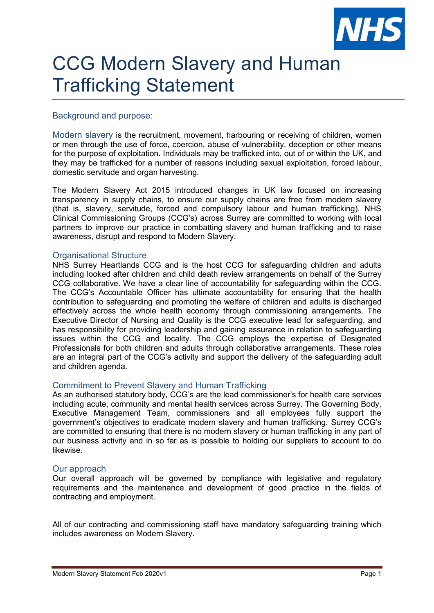

# CCG Modern Slavery and Human Trafficking Statement

## Background and purpose:

Modern slavery is the recruitment, movement, harbouring or receiving of children, women or men through the use of force, coercion, abuse of vulnerability, deception or other means for the purpose of exploitation. Individuals may be trafficked into, out of or within the UK, and they may be trafficked for a number of reasons including sexual exploitation, forced labour, domestic servitude and organ harvesting.

The Modern Slavery Act 2015 introduced changes in UK law focused on increasing transparency in supply chains, to ensure our supply chains are free from modern slavery (that is, slavery, servitude, forced and compulsory labour and human trafficking). NHS Clinical Commissioning Groups (CCG's) across Surrey are committed to working with local partners to improve our practice in combatting slavery and human trafficking and to raise awareness, disrupt and respond to Modern Slavery.

#### Organisational Structure

NHS Surrey Heartlands CCG and is the host CCG for safeguarding children and adults including looked after children and child death review arrangements on behalf of the Surrey CCG collaborative. We have a clear line of accountability for safeguarding within the CCG. The CCG's Accountable Officer has ultimate accountability for ensuring that the health contribution to safeguarding and promoting the welfare of children and adults is discharged effectively across the whole health economy through commissioning arrangements. The Executive Director of Nursing and Quality is the CCG executive lead for safeguarding, and has responsibility for providing leadership and gaining assurance in relation to safeguarding issues within the CCG and locality. The CCG employs the expertise of Designated Professionals for both children and adults through collaborative arrangements. These roles are an integral part of the CCG's activity and support the delivery of the safeguarding adult and children agenda.

#### Commitment to Prevent Slavery and Human Trafficking

As an authorised statutory body, CCG's are the lead commissioner's for health care services including acute, community and mental health services across Surrey. The Governing Body, Executive Management Team, commissioners and all employees fully support the government's objectives to eradicate modern slavery and human trafficking. Surrey CCG's are committed to ensuring that there is no modern slavery or human trafficking in any part of our business activity and in so far as is possible to holding our suppliers to account to do likewise.

#### Our approach

Our overall approach will be governed by compliance with legislative and regulatory requirements and the maintenance and development of good practice in the fields of contracting and employment.

All of our contracting and commissioning staff have mandatory safeguarding training which includes awareness on Modern Slavery.